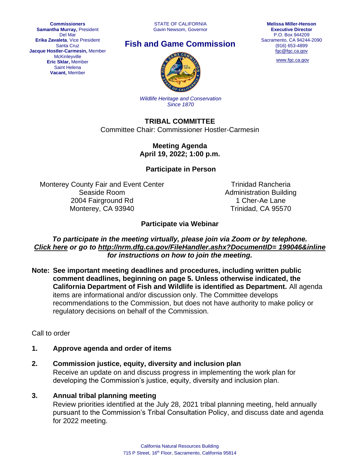**Commissioners Samantha Murray,** President Del Mar **Erika Zavaleta**, Vice President Santa Cruz **Jacque Hostler-Carmesin,** Member **McKinleyville Eric Sklar,** Member Saint Helena **Vacant,** Member

STATE OF CALIFORNIA Gavin Newsom, Governor





[www.fgc.ca.gov](http://www.fgc.ca.gov/)



*Wildlife Heritage and Conservation Since 1870*

**TRIBAL COMMITTEE** Committee Chair: Commissioner Hostler-Carmesin

> **Meeting Agenda April 19, 2022; 1:00 p.m.**

**Participate in Person**

Monterey County Fair and Event Center Seaside Room 2004 Fairground Rd Monterey, CA 93940

Trinidad Rancheria Administration Building 1 Cher-Ae Lane Trinidad, CA 95570

#### **Participate via Webinar**

*To participate in the meeting virtually, please join via Zoom or by telephone. [Click here](https://us06web.zoom.us/j/87438642515) or go to [http://nrm.dfg.ca.gov/FileHandler.ashx?DocumentID=](http://nrm.dfg.ca.gov/FileHandler.ashx?DocumentID=%20199046&inline) 199046&inline for instructions on how to join the meeting.*

**Note: See important meeting deadlines and procedures, including written public comment deadlines, beginning on page 5. Unless otherwise indicated, the California Department of Fish and Wildlife is identified as Department.** All agenda items are informational and/or discussion only. The Committee develops recommendations to the Commission, but does not have authority to make policy or regulatory decisions on behalf of the Commission.

Call to order

**1. Approve agenda and order of items**

#### **2. Commission justice, equity, diversity and inclusion plan** Receive an update on and discuss progress in implementing the work plan for developing the Commission's justice, equity, diversity and inclusion plan.

#### **3. Annual tribal planning meeting**

Review priorities identified at the July 28, 2021 tribal planning meeting, held annually pursuant to the Commission's Tribal Consultation Policy, and discuss date and agenda for 2022 meeting.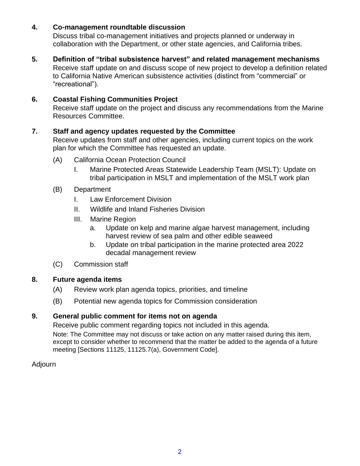### **4. Co-management roundtable discussion**

Discuss tribal co-management initiatives and projects planned or underway in collaboration with the Department, or other state agencies, and California tribes.

#### **5. Definition of "tribal subsistence harvest" and related management mechanisms**

Receive staff update on and discuss scope of new project to develop a definition related to California Native American subsistence activities (distinct from "commercial" or "recreational").

### **6. Coastal Fishing Communities Project**

Receive staff update on the project and discuss any recommendations from the Marine Resources Committee.

#### **7. Staff and agency updates requested by the Committee**

Receive updates from staff and other agencies, including current topics on the work plan for which the Committee has requested an update.

- (A) California Ocean Protection Council
	- I. Marine Protected Areas Statewide Leadership Team (MSLT): Update on tribal participation in MSLT and implementation of the MSLT work plan
- (B) Department
	- I. Law Enforcement Division
	- II. Wildlife and Inland Fisheries Division
	- III. Marine Region
		- a. Update on kelp and marine algae harvest management, including harvest review of sea palm and other edible seaweed
		- b. Update on tribal participation in the marine protected area 2022 decadal management review
- (C) Commission staff

#### **8. Future agenda items**

- (A) Review work plan agenda topics, priorities, and timeline
- (B) Potential new agenda topics for Commission consideration

#### **9. General public comment for items not on agenda**

Receive public comment regarding topics not included in this agenda.

Note: The Committee may not discuss or take action on any matter raised during this item, except to consider whether to recommend that the matter be added to the agenda of a future meeting [Sections 11125, 11125.7(a), Government Code].

#### Adjourn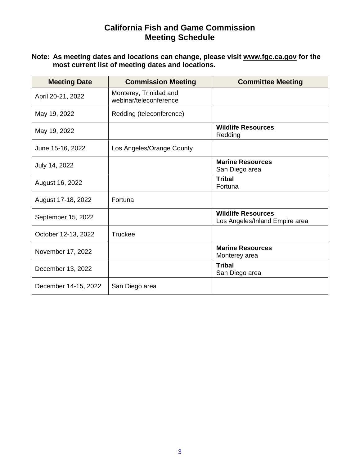# **California Fish and Game Commission Meeting Schedule**

#### **Note: As meeting dates and locations can change, please visit [www.fgc.ca.gov](http://www.fgc.ca.gov/) for the most current list of meeting dates and locations.**

| <b>Meeting Date</b>  | <b>Commission Meeting</b>                        | <b>Committee Meeting</b>                                    |
|----------------------|--------------------------------------------------|-------------------------------------------------------------|
| April 20-21, 2022    | Monterey, Trinidad and<br>webinar/teleconference |                                                             |
| May 19, 2022         | Redding (teleconference)                         |                                                             |
| May 19, 2022         |                                                  | <b>Wildlife Resources</b><br>Redding                        |
| June 15-16, 2022     | Los Angeles/Orange County                        |                                                             |
| July 14, 2022        |                                                  | <b>Marine Resources</b><br>San Diego area                   |
| August 16, 2022      |                                                  | <b>Tribal</b><br>Fortuna                                    |
| August 17-18, 2022   | Fortuna                                          |                                                             |
| September 15, 2022   |                                                  | <b>Wildlife Resources</b><br>Los Angeles/Inland Empire area |
| October 12-13, 2022  | Truckee                                          |                                                             |
| November 17, 2022    |                                                  | <b>Marine Resources</b><br>Monterey area                    |
| December 13, 2022    |                                                  | <b>Tribal</b><br>San Diego area                             |
| December 14-15, 2022 | San Diego area                                   |                                                             |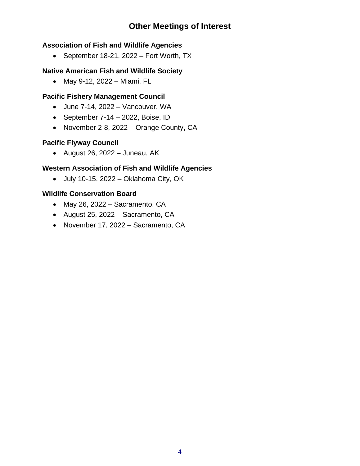# **Other Meetings of Interest**

# **Association of Fish and Wildlife Agencies**

• September 18-21, 2022 – Fort Worth, TX

## **Native American Fish and Wildlife Society**

• May 9-12, 2022 – Miami, FL

# **Pacific Fishery Management Council**

- June 7-14, 2022 Vancouver, WA
- September  $7-14 2022$ , Boise, ID
- November 2-8, 2022 Orange County, CA

# **Pacific Flyway Council**

• August 26, 2022 – Juneau, AK

## **Western Association of Fish and Wildlife Agencies**

• July 10-15, 2022 – Oklahoma City, OK

## **Wildlife Conservation Board**

- May 26, 2022 Sacramento, CA
- August 25, 2022 Sacramento, CA
- November 17, 2022 Sacramento, CA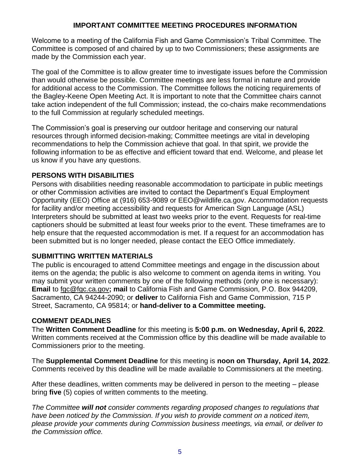## **IMPORTANT COMMITTEE MEETING PROCEDURES INFORMATION**

Welcome to a meeting of the California Fish and Game Commission's Tribal Committee. The Committee is composed of and chaired by up to two Commissioners; these assignments are made by the Commission each year.

The goal of the Committee is to allow greater time to investigate issues before the Commission than would otherwise be possible. Committee meetings are less formal in nature and provide for additional access to the Commission. The Committee follows the noticing requirements of the Bagley-Keene Open Meeting Act. It is important to note that the Committee chairs cannot take action independent of the full Commission; instead, the co-chairs make recommendations to the full Commission at regularly scheduled meetings.

The Commission's goal is preserving our outdoor heritage and conserving our natural resources through informed decision-making; Committee meetings are vital in developing recommendations to help the Commission achieve that goal. In that spirit, we provide the following information to be as effective and efficient toward that end. Welcome, and please let us know if you have any questions.

## **PERSONS WITH DISABILITIES**

Persons with disabilities needing reasonable accommodation to participate in public meetings or other Commission activities are invited to contact the Department's Equal Employment Opportunity (EEO) Office at (916) 653-9089 or EEO@wildlife.ca.gov. Accommodation requests for facility and/or meeting accessibility and requests for American Sign Language (ASL) Interpreters should be submitted at least two weeks prior to the event. Requests for real-time captioners should be submitted at least four weeks prior to the event. These timeframes are to help ensure that the requested accommodation is met. If a request for an accommodation has been submitted but is no longer needed, please contact the EEO Office immediately.

## **SUBMITTING WRITTEN MATERIALS**

The public is encouraged to attend Committee meetings and engage in the discussion about items on the agenda; the public is also welcome to comment on agenda items in writing. You may submit your written comments by one of the following methods (only one is necessary): **Email** to [fgc@fgc.ca.gov](mailto:fgc@fgc.ca.gov)**; mail** to California Fish and Game Commission, P.O. Box 944209, Sacramento, CA 94244-2090; or **deliver** to California Fish and Game Commission, 715 P Street, Sacramento, CA 95814; or **hand-deliver to a Committee meeting.**

## **COMMENT DEADLINES**

The **Written Comment Deadline** for this meeting is **5:00 p.m. on Wednesday, April 6, 2022**. Written comments received at the Commission office by this deadline will be made available to Commissioners prior to the meeting.

The **Supplemental Comment Deadline** for this meeting is **noon on Thursday, April 14, 2022**. Comments received by this deadline will be made available to Commissioners at the meeting.

After these deadlines, written comments may be delivered in person to the meeting – please bring **five** (5) copies of written comments to the meeting.

*The Committee will not consider comments regarding proposed changes to regulations that have been noticed by the Commission. If you wish to provide comment on a noticed item, please provide your comments during Commission business meetings, via email, or deliver to the Commission office.*